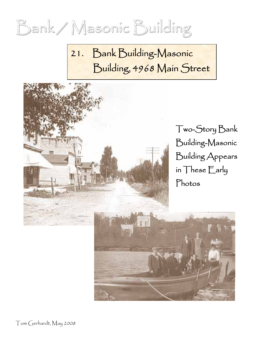

21. Bank Building-Masonic Building, 4968 Main Street

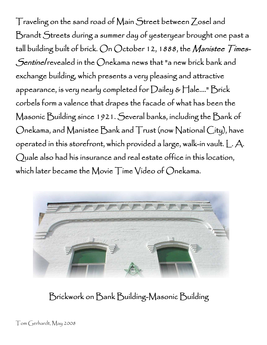Traveling on the sand road of Main Street between Zosel and Brandt Streets during a summer day of yesteryear brought one past a tall building built of brick. On October 12, 1888, the *Manistee*  $\overline{I}$ *imes*-Sentinel revealed in the Onekama news that "a new brick bank and exchange building, which presents a very pleasing and attractive appearance, is very nearly completed for  $D$ ailey &  $\boldsymbol{\vdash}$ lale...."  $\boldsymbol{\mathsf{B}}$ rick corbels form a valence that drapes the facade of what has been the Masonic Building since 1921. Several banks, including the Bank of Onekama, and Manistee Bank and Trust (now National City), have operated in this storefront, which provided a large, walk-in vault. L. A. Quale also had his insurance and real estate office in this location, which later became the Movie Time Video of Onekama.



Brickwork on Bank Building-Masonic Building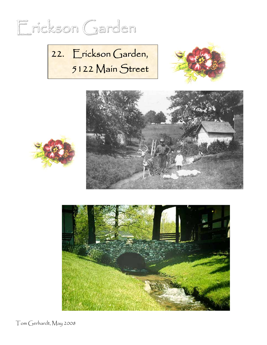

22. Erickson Garden, 5122 Main Street









Tom Gerhardt, May 2008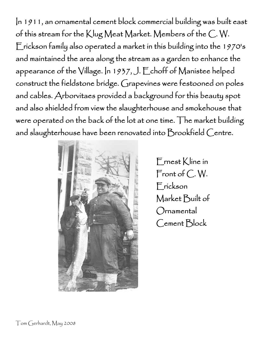In 1911, an ornamental cement block commercial building was built east of this stream for the Klug Meat Market. Members of the C. W. Erickson family also operated a market in this building into the 1970's and maintained the area along the stream as a garden to enhance the appearance of the Village. In 1937, J. Echoff of Manistee helped construct the fieldstone bridge. Grapevines were festooned on poles and cables. Arborvitaes provided a background for this beauty spot and also shielded from view the slaughterhouse and smokehouse that were operated on the back of the lot at one time. The market building and slaughterhouse have been renovated into Brookfield Centre.



Ernest Kline in Front of C. W. Erickson Market Built of **Ornamental** Cement Block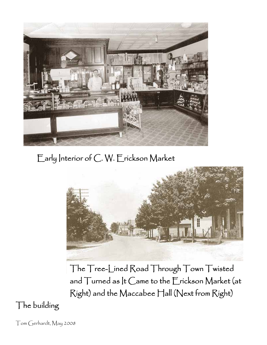

Early Interior of C. W. Erickson Market



The Tree-Lined Road Through Town Twisted and Turned as It Came to the Erickson Market (at Right) and the Maccabee Hall (Next from Right)

The building

Tom Gerhardt, May 2008